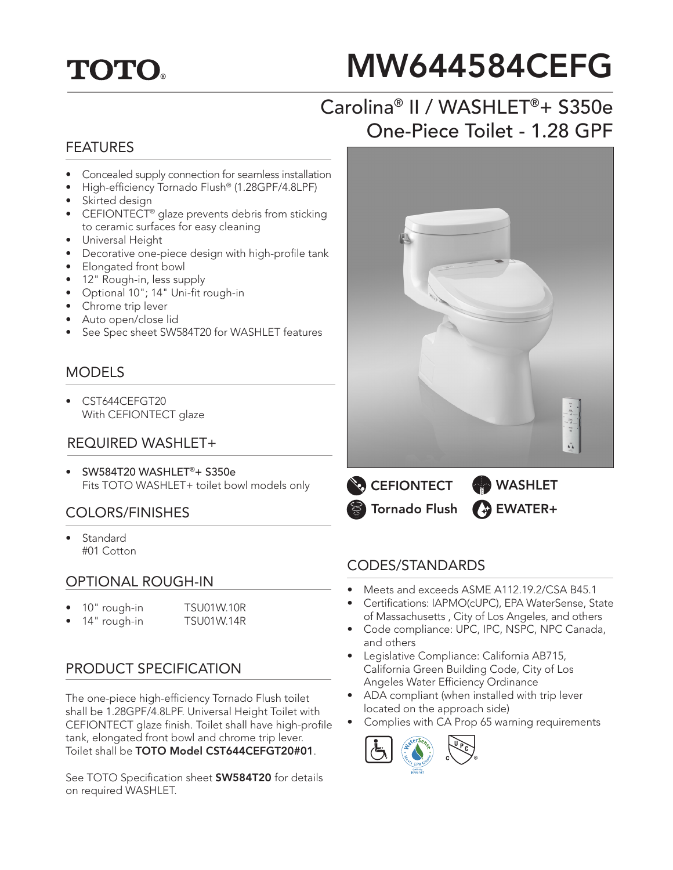## **TOTO.**

# MW644584CEFG

## Carolina® II / WASHLET®+ S350e One-Piece Toilet - 1.28 GPF

#### FEATURES

- Concealed supply connection for seamless installation
- High-efficiency Tornado Flush® (1.28GPF/4.8LPF)
- Skirted design
- CEFIONTECT<sup>®</sup> glaze prevents debris from sticking to ceramic surfaces for easy cleaning
- Universal Height
- Decorative one-piece design with high-profile tank
- Elongated front bowl
- 12" Rough-in, less supply
- Optional 10"; 14" Uni-fit rough-in
- Chrome trip lever
- Auto open/close lid
- See Spec sheet SW584T20 for WASHLET features

#### MODELS

• CST644CEFGT20 With CEFIONTECT glaze

#### REQUIRED WASHLET+

• SW584T20 WASHLET®+ S350e Fits TOTO WASHLET+ toilet bowl models only

#### COLORS/FINISHES

• Standard #01 Cotton

#### OPTIONAL ROUGH-IN

- 10" rough-in TSU01W.10R
	- 14" rough-in TSU01W.14R

#### PRODUCT SPECIFICATION

The one-piece high-efficiency Tornado Flush toilet shall be 1.28GPF/4.8LPF. Universal Height Toilet with CEFIONTECT glaze finish. Toilet shall have high-profile tank, elongated front bowl and chrome trip lever. Toilet shall be TOTO Model CST644CEFGT20#01.

See TOTO Specification sheet **SW584T20** for details on required WASHLET.





#### CODES/STANDARDS

- Meets and exceeds ASME A112.19.2/CSA B45.1
- Certifications: IAPMO(cUPC), EPA WaterSense, State of Massachusetts , City of Los Angeles, and others
- Code compliance: UPC, IPC, NSPC, NPC Canada, and others
- Legislative Compliance: California AB715, California Green Building Code, City of Los Angeles Water Efficiency Ordinance
- ADA compliant (when installed with trip lever located on the approach side)
- Complies with CA Prop 65 warning requirements